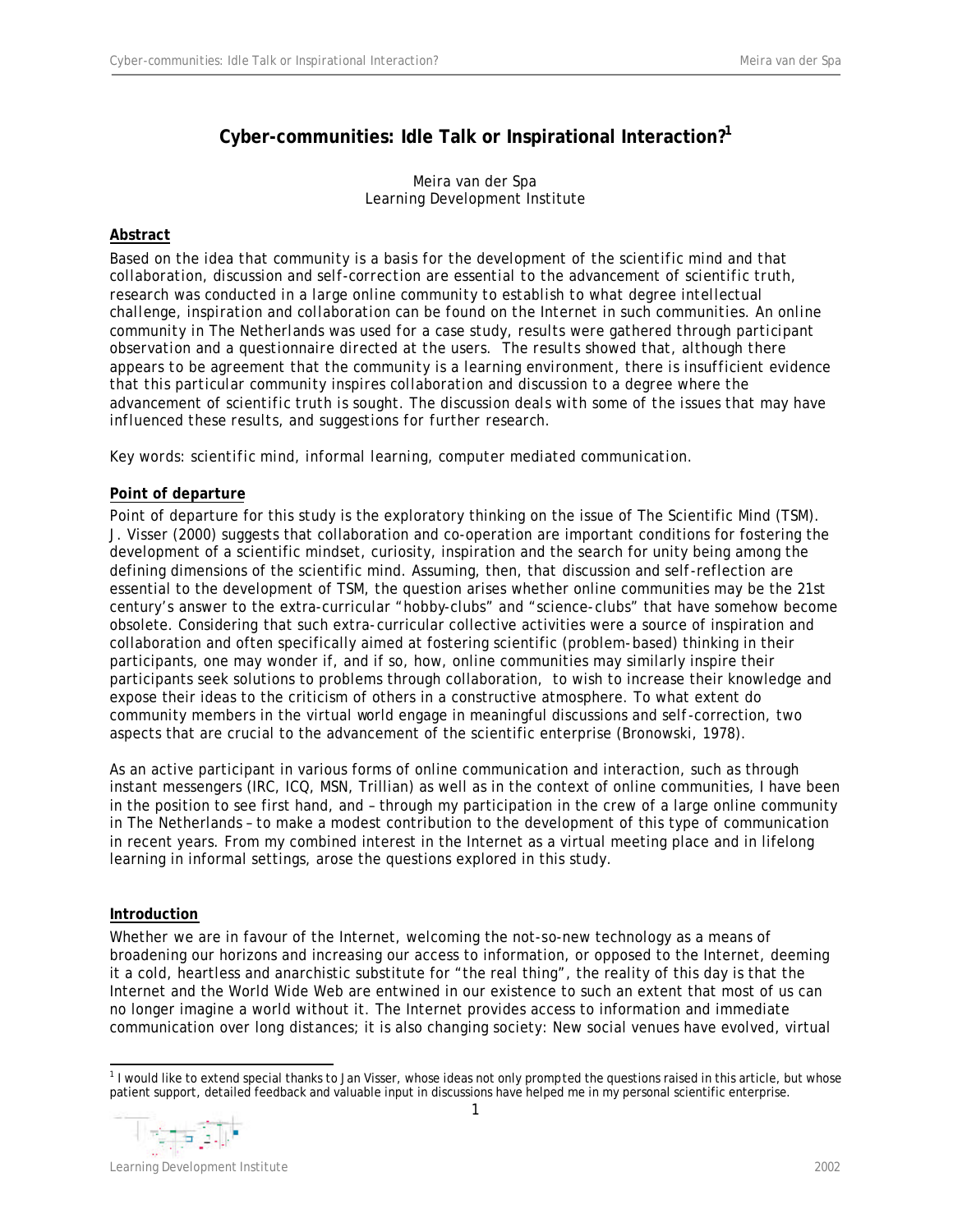# **Cyber-communities: Idle Talk or Inspirational Interaction?<sup>1</sup>**

Meira van der Spa Learning Development Institute

# **Abstract**

*Based on the idea that community is a basis for the development of the scientific mind and that collaboration, discussion and self-correction are essential to the advancement of scientific truth, research was conducted in a large online community to establish to what degree intellectual challenge, inspiration and collaboration can be found on the Internet in such communities. An online community in The Netherlands was used for a case study, results were gathered through participant observation and a questionnaire directed at the users. The results showed that, although there appears to be agreement that the community is a learning environment, there is insufficient evidence that this particular community inspires collaboration and discussion to a degree where the advancement of scientific truth is sought. The discussion deals with some of the issues that may have influenced these results, and suggestions for further research.*

*Key words: scientific mind, informal learning, computer mediated communication.*

# **Point of departure**

Point of departure for this study is the exploratory thinking on the issue of The Scientific Mind (TSM). J. Visser (2000) suggests that collaboration and co-operation are important conditions for fostering the development of a scientific mindset, curiosity, inspiration and the search for unity being among the defining dimensions of the scientific mind. Assuming, then, that discussion and self-reflection are essential to the development of TSM, the question arises whether online communities may be the 21st century's answer to the extra-curricular "hobby-clubs" and "science-clubs" that have somehow become obsolete. Considering that such extra-curricular collective activities were a source of inspiration and collaboration and often specifically aimed at fostering scientific (problem-based) thinking in their participants, one may wonder if, and if so, how, online communities may similarly inspire their participants seek solutions to problems through collaboration, to wish to increase their knowledge and expose their ideas to the criticism of others in a constructive atmosphere. To what extent do community members in the virtual world engage in meaningful discussions and self-correction, two aspects that are crucial to the advancement of the scientific enterprise (Bronowski, 1978).

As an active participant in various forms of online communication and interaction, such as through instant messengers (IRC, ICQ, MSN, Trillian) as well as in the context of online communities, I have been in the position to see first hand, and – through my participation in the crew of a large online community in The Netherlands – to make a modest contribution to the development of this type of communication in recent years. From my combined interest in the Internet as a virtual meeting place and in lifelong learning in informal settings, arose the questions explored in this study.

# **Introduction**

Whether we are in favour of the Internet, welcoming the not-so-new technology as a means of broadening our horizons and increasing our access to information, or opposed to the Internet, deeming it a cold, heartless and anarchistic substitute for "the real thing", the reality of this day is that the Internet and the World Wide Web are entwined in our existence to such an extent that most of us can no longer imagine a world without it. The Internet provides access to information and immediate communication over long distances; it is also changing society: New social venues have evolved, virtual

<sup>1</sup> <sup>1</sup> I would like to extend special thanks to Jan Visser, whose ideas not only prompted the questions raised in this article, but whose patient support, detailed feedback and valuable input in discussions have helped me in my personal scientific enterprise.



Learning Development Institute 2002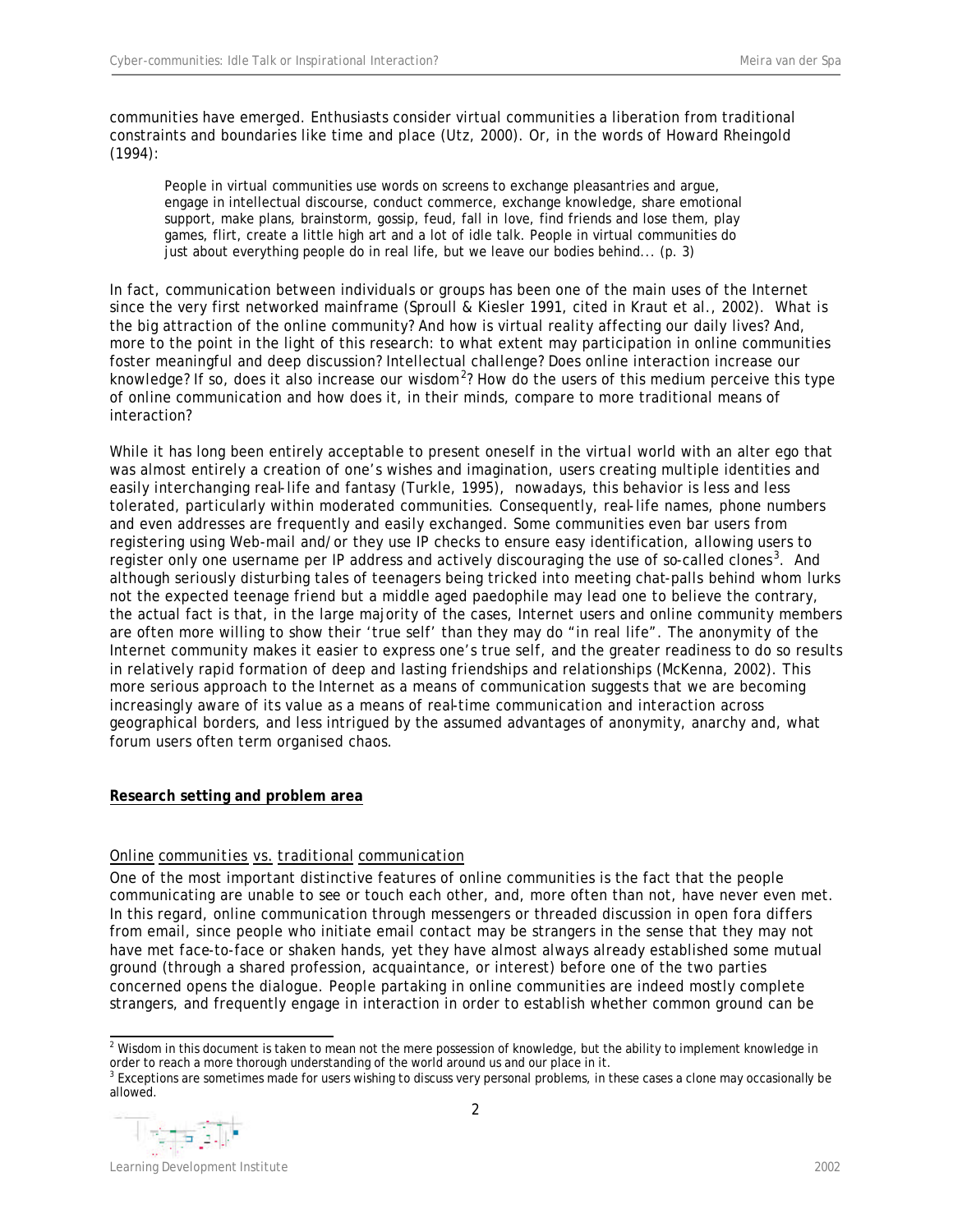communities have emerged. Enthusiasts consider virtual communities a liberation from traditional constraints and boundaries like time and place (Utz, 2000). Or, in the words of Howard Rheingold (1994):

People in virtual communities use words on screens to exchange pleasantries and argue, engage in intellectual discourse, conduct commerce, exchange knowledge, share emotional support, make plans, brainstorm, gossip, feud, fall in love, find friends and lose them, play games, flirt, create a little high art and a lot of idle talk. People in virtual communities do just about everything people do in real life, but we leave our bodies behind... (p. 3)

In fact, communication between individuals or groups has been one of the main uses of the Internet since the very first networked mainframe (Sproull & Kiesler 1991, cited in Kraut et al., 2002). What is the big attraction of the online community? And how is virtual reality affecting our daily lives? And, more to the point in the light of this research: to what extent may participation in online communities foster meaningful and deep discussion? Intellectual challenge? Does online interaction increase our knowledge? If so, does it also increase our wisdom<sup>2</sup>? How do the users of this medium perceive this type of online communication and how does it, in their minds, compare to more traditional means of interaction?

While it has long been entirely acceptable to present oneself in the virtual world with an alter ego that was almost entirely a creation of one's wishes and imagination, users creating multiple identities and easily interchanging real-life and fantasy (Turkle, 1995), nowadays, this behavior is less and less tolerated, particularly within moderated communities. Consequently, real-life names, phone numbers and even addresses are frequently and easily exchanged. Some communities even bar users from registering using Web-mail and/or they use IP checks to ensure easy identification, allowing users to register only one username per IP address and actively discouraging the use of so-called clones<sup>3</sup>. And although seriously disturbing tales of teenagers being tricked into meeting chat-palls behind whom lurks not the expected teenage friend but a middle aged paedophile may lead one to believe the contrary, the actual fact is that, in the large majority of the cases, Internet users and online community members are often more willing to show their 'true self' than they may do "in real life". The anonymity of the Internet community makes it easier to express one's true self, and the greater readiness to do so results in relatively rapid formation of deep and lasting friendships and relationships (McKenna, 2002). This more serious approach to the Internet as a means of communication suggests that we are becoming increasingly aware of its value as a means of real-time communication and interaction across geographical borders, and less intrigued by the assumed advantages of anonymity, anarchy and, what forum users often term organised chaos.

# **Research setting and problem area**

# *Online communities vs. traditional communication*

One of the most important distinctive features of online communities is the fact that the people communicating are unable to see or touch each other, and, more often than not, have never even met. In this regard, online communication through messengers or threaded discussion in open fora differs from email, since people who initiate email contact may be strangers in the sense that they may not have met face-to-face or shaken hands, yet they have almost always already established some mutual ground (through a shared profession, acquaintance, or interest) before one of the two parties concerned opens the dialogue. People partaking in online communities are indeed mostly complete strangers, and frequently engage in interaction in order to establish whether common ground can be

<sup>&</sup>lt;sup>3</sup> Exceptions are sometimes made for users wishing to discuss very personal problems, in these cases a clone may occasionally be allowed.



Learning Development Institute 2002

  $^2$  Wisdom in this document is taken to mean not the mere possession of knowledge, but the ability to implement knowledge in order to reach a more thorough understanding of the world around us and our place in it.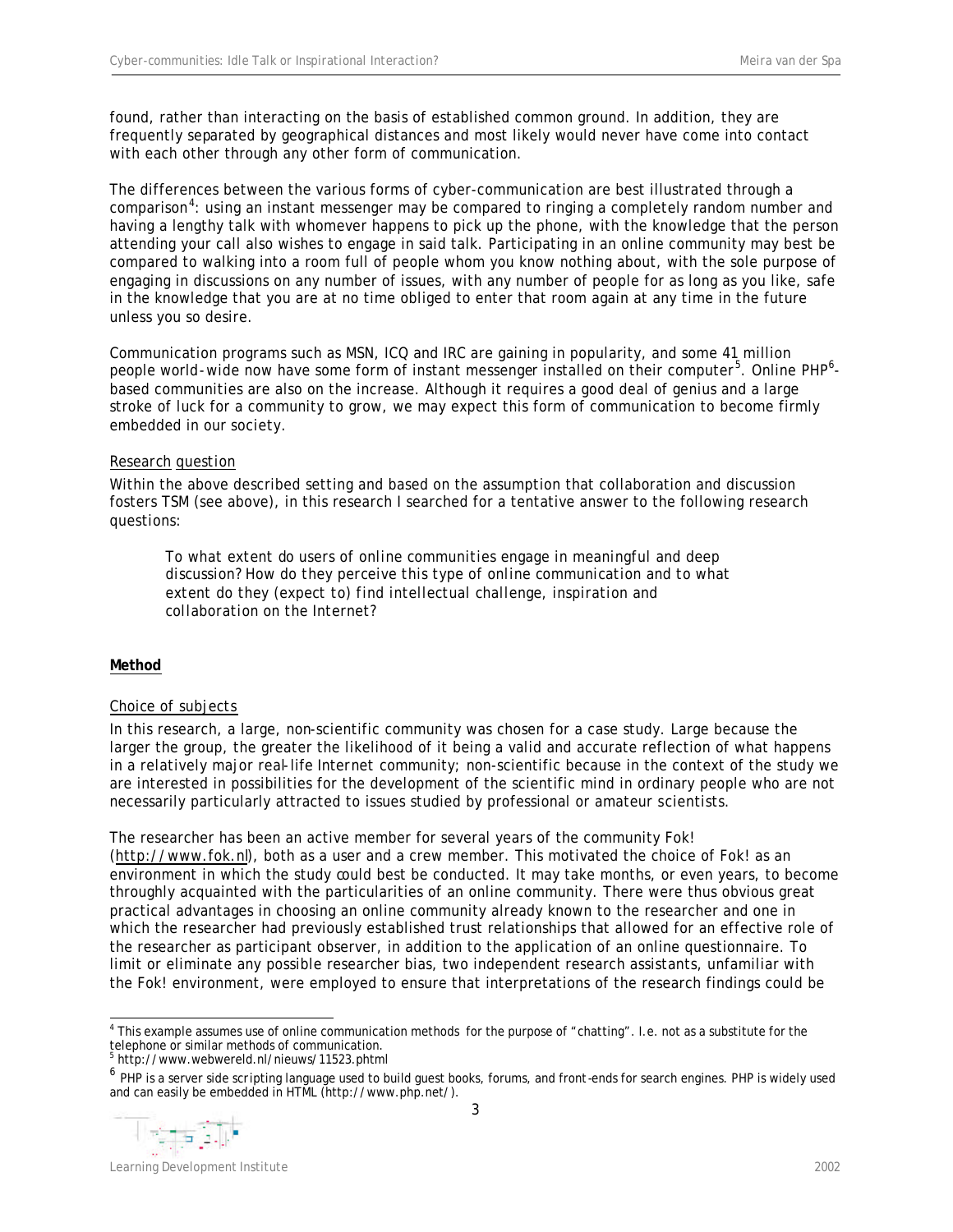found, rather than interacting on the basis of established common ground. In addition, they are frequently separated by geographical distances and most likely would never have come into contact with each other through any other form of communication.

The differences between the various forms of cyber-communication are best illustrated through a comparison<sup>4</sup>: using an instant messenger may be compared to ringing a completely random number and having a lengthy talk with whomever happens to pick up the phone, with the knowledge that the person attending your call also wishes to engage in said talk. Participating in an online community may best be compared to walking into a room full of people whom you know nothing about, with the sole purpose of engaging in discussions on any number of issues, with any number of people for as long as you like, safe in the knowledge that you are at no time obliged to enter that room again at any time in the future unless you so desire.

Communication programs such as MSN, ICQ and IRC are gaining in popularity, and some 41 million people world-wide now have some form of instant messenger installed on their computer<sup>5</sup>. Online PHP<sup>6</sup>based communities are also on the increase. Although it requires a good deal of genius and a large stroke of luck for a community to grow, we may expect this form of communication to become firmly embedded in our society.

# *Research question*

Within the above described setting and based on the assumption that collaboration and discussion fosters TSM (see above), in this research I searched for a tentative answer to the following research questions:

*To what extent do users of online communities engage in meaningful and deep discussion? How do they perceive this type of online communication and to what extent do they (expect to) find intellectual challenge, inspiration and collaboration on the Internet?* 

## **Method**

#### *Choice of subjects*

In this research, a large, non-scientific community was chosen for a case study. Large because the larger the group, the greater the likelihood of it being a valid and accurate reflection of what happens in a relatively major real-life Internet community; non-scientific because in the context of the study we are interested in possibilities for the development of the scientific mind in ordinary people who are not necessarily particularly attracted to issues studied by professional or amateur scientists.

The researcher has been an active member for several years of the community *Fok*! (http://www.fok.nl), both as a user and a crew member. This motivated the choice of Fok! as an environment in which the study could best be conducted. It may take months, or even years, to become throughly acquainted with the particularities of an online community. There were thus obvious great practical advantages in choosing an online community already known to the researcher and one in which the researcher had previously established trust relationships that allowed for an effective role of the researcher as participant observer, in addition to the application of an online questionnaire. To limit or eliminate any possible researcher bias, two independent research assistants, unfamiliar with the Fok! environment, were employed to ensure that interpretations of the research findings could be

5 http://www.webwereld.nl/nieuws/11523.phtml

<sup>&</sup>lt;sup>6</sup> PHP is a server side scripting language used to build guest books, forums, and front-ends for search engines. PHP is widely used and can easily be embedded in HTML (http://www.php.net/).



 4 This example assumes use of online communication methods for the purpose of "chatting". I.e. not as a substitute for the telephone or similar methods of communication.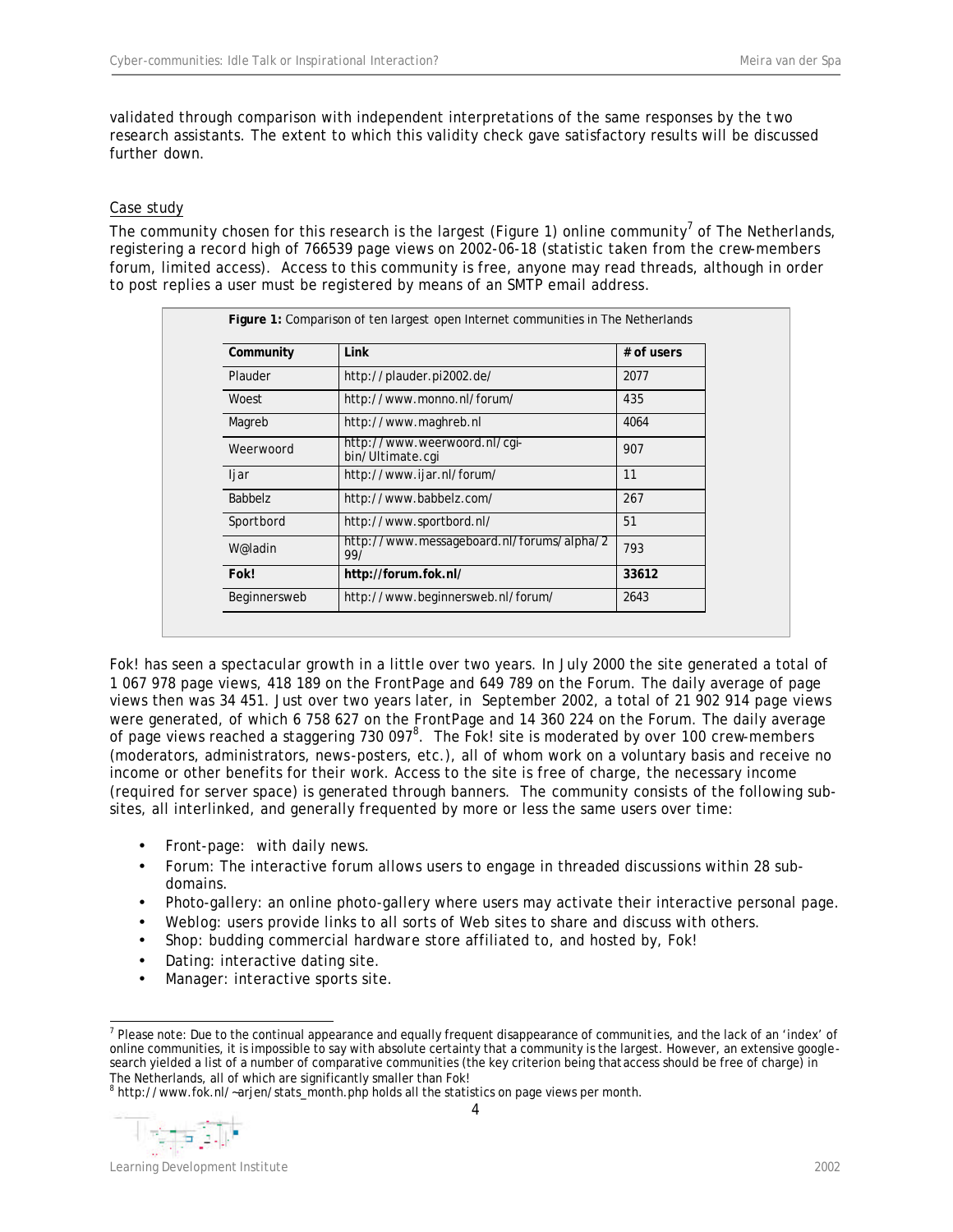validated through comparison with independent interpretations of the same responses by the two research assistants. The extent to which this validity check gave satisfactory results will be discussed further down.

# *Case study*

The community chosen for this research is the largest (Figure 1) online community<sup>7</sup> of The Netherlands, registering a record high of 766539 page views on 2002-06-18 (statistic taken from the crew-members forum, limited access). Access to this community is free, anyone may read threads, although in order to post replies a user must be registered by means of an SMTP email address.

| Link<br>Community                                           |                                                  | $#$ of users |  |
|-------------------------------------------------------------|--------------------------------------------------|--------------|--|
| Plauder                                                     | http://plauder.pi2002.de/                        | 2077         |  |
| Woest                                                       | http://www.monno.nl/forum/                       | 435          |  |
| Magreb                                                      | http://www.maghreb.nl                            | 4064         |  |
| Weerwoord                                                   | http://www.weerwoord.nl/cqi-<br>bin/Ultimate.cqi | 907          |  |
| ljar                                                        | http://www.ijar.nl/forum/                        | 11           |  |
| <b>Babbelz</b>                                              | http://www.babbelz.com/                          | 267          |  |
| Sportbord                                                   | http://www.sportbord.nl/                         |              |  |
| http://www.messageboard.nl/forums/alpha/2<br>W@ladin<br>99/ |                                                  | 793          |  |
| Fok!                                                        | http://forum.fok.nl/                             | 33612        |  |
| Beginnersweb                                                | http://www.beginnersweb.nl/forum/                | 2643         |  |

Fok! has seen a spectacular growth in a little over two years. In July 2000 the site generated a total of 1 067 978 page views, 418 189 on the FrontPage and 649 789 on the Forum. The daily average of page views then was 34 451. Just over two years later, in September 2002, a total of 21 902 914 page views were generated, of which 6 758 627 on the FrontPage and 14 360 224 on the Forum. The daily average of page views reached a staggering 730 097 $^8$ . The Fok! site is moderated by over 100 crew-members (moderators, administrators, news-posters, etc.), all of whom work on a voluntary basis and receive no income or other benefits for their work. Access to the site is free of charge, the necessary income (required for server space) is generated through banners. The community consists of the following subsites, all interlinked, and generally frequented by more or less the same users over time:

- Front-page: with daily news.
- Forum: The interactive forum allows users to engage in threaded discussions within 28 subdomains.
- Photo-gallery: an online photo-gallery where users may activate their interactive personal page.
- Weblog: users provide links to all sorts of Web sites to share and discuss with others.
- Shop: budding commercial hardware store affiliated to, and hosted by, Fok!
- Dating: interactive dating site.
- Manager: interactive sports site.



Learning Development Institute 2002

 7 Please note: Due to the continual appearance and equally frequent disappearance of communities, and the lack of an 'index' of online communities, it is impossible to say with absolute certainty that a community is the largest. However, an extensive googlesearch yielded a list of a number of comparative communities (the key criterion being that access should be free of charge) in The Netherlands, all of which are significantly smaller than Fok!<br><sup>8</sup> http://www.fok.nl/~arjen/stats\_month.php holds all the statistics on page views per month.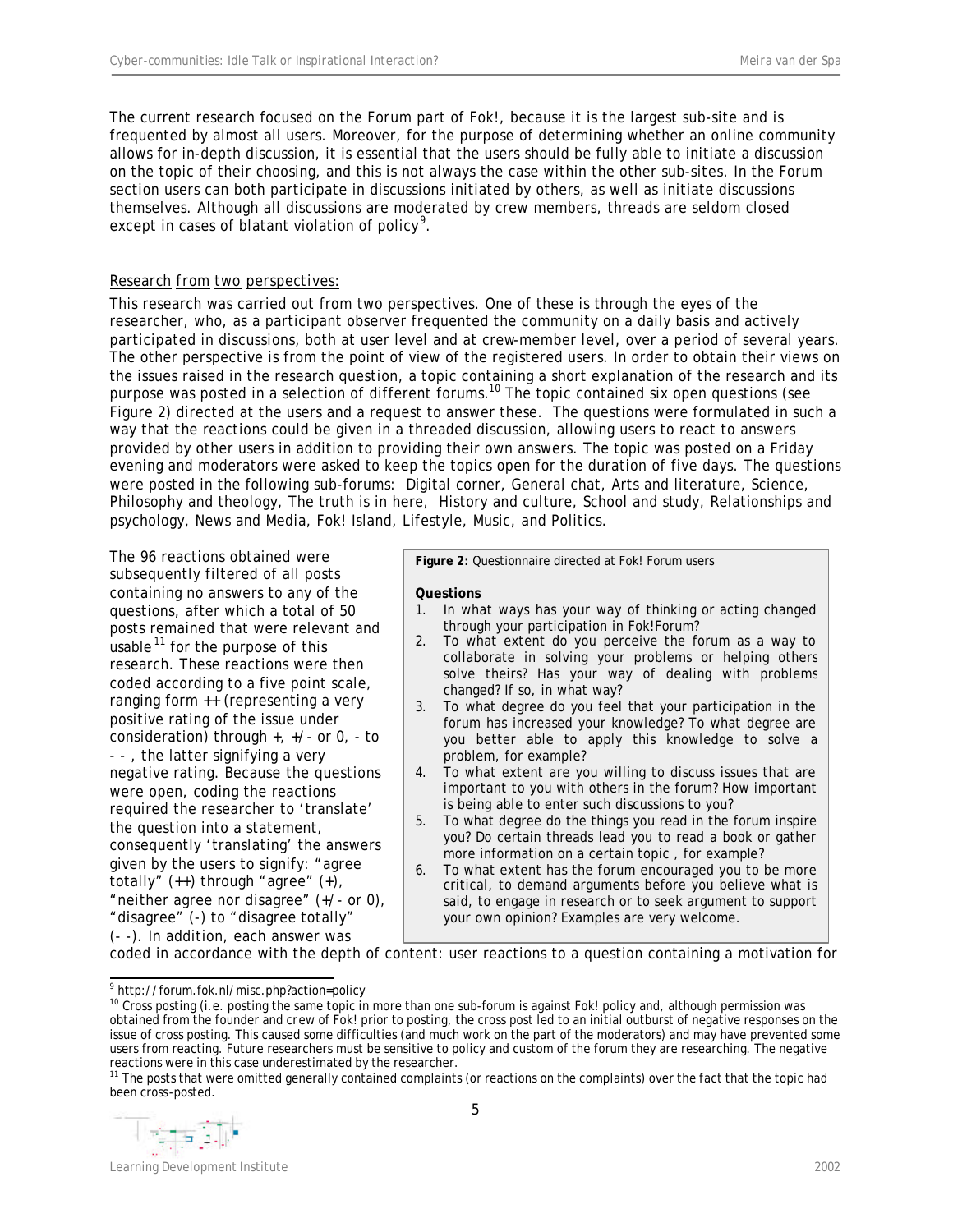The current research focused on the *Forum* part of Fok!, because it is the largest sub-site and is frequented by almost all users. Moreover, for the purpose of determining whether an online community allows for in-depth discussion, it is essential that the users should be fully able to initiate a discussion on the topic of their choosing, and this is not always the case within the other sub-sites. In the Forum section users can both participate in discussions initiated by others, as well as initiate discussions themselves. Although all discussions are moderated by crew members, threads are seldom closed except in cases of blatant violation of policy<sup>9</sup>.

# *Research from two perspectives:*

This research was carried out from two perspectives. One of these is through the eyes of the researcher, who, as a participant observer frequented the community on a daily basis and actively participated in discussions, both at user level and at crew-member level, over a period of several years. The other perspective is from the point of view of the registered users. In order to obtain their views on the issues raised in the research question, a topic containing a short explanation of the research and its purpose was posted in a selection of different forums.<sup>10</sup> The topic contained six open questions (see Figure 2) directed at the users and a request to answer these. The questions were formulated in such a way that the reactions could be given in a threaded discussion, allowing users to react to answers provided by other users in addition to providing their own answers. The topic was posted on a Friday evening and moderators were asked to keep the topics open for the duration of five days. The questions were posted in the following sub-forums: Digital corner, General chat, Arts and literature, Science, Philosophy and theology, The truth is in here, History and culture, School and study, Relationships and psychology, News and Media, Fok! Island, Lifestyle, Music, and Politics.

The 96 reactions obtained were subsequently filtered of all posts containing no answers to any of the questions, after which a total of 50 posts remained that were relevant and usable  $11$  for the purpose of this research. These reactions were then coded according to a five point scale, ranging form ++ (representing a very positive rating of the issue under consideration) through +, +/- or 0, - to - - , the latter signifying a very negative rating. Because the questions were open, coding the reactions required the researcher to 'translate' the question into a statement, consequently 'translating' the answers given by the users to signify: "agree totally"  $(+)$  through "agree"  $(+)$ , "neither agree nor disagree" (+/- or 0), "disagree" (-) to "disagree totally" (- -). In addition, each answer was

**Figure 2:** Questionnaire directed at Fok! Forum users

#### **Questions**

- 1. In what ways has your way of thinking or acting changed through your participation in Fok!Forum?
- 2. To what extent do you perceive the forum as a way to collaborate in solving your problems or helping others solve theirs? Has your way of dealing with problems changed? If so, in what way?
- 3. To what degree do you feel that your participation in the forum has increased your knowledge? To what degree are you better able to apply this knowledge to solve a problem, for example?
- 4. To what extent are you willing to discuss issues that are important to you with others in the forum? How important is being able to enter such discussions to you?
- 5. To what degree do the things you read in the forum inspire you? Do certain threads lead you to read a book or gather more information on a certain topic , for example?
- 6. To what extent has the forum encouraged you to be more critical, to demand arguments before you believe what is said, to engage in research or to seek argument to support your own opinion? Examples are very welcome.

coded in accordance with the depth of content: user reactions to a question containing a motivation for

<sup>&</sup>lt;sup>11</sup> The posts that were omitted generally contained complaints (or reactions on the complaints) over the fact that the topic had been cross-posted.



 9 http://forum.fok.nl/misc.php?action=policy

<sup>&</sup>lt;sup>10</sup> Cross posting (i.e. posting the same topic in more than one sub-forum is against Fok! policy and, although permission was obtained from the founder and crew of Fok! prior to posting, the cross post led to an initial outburst of negative responses on the issue of cross posting. This caused some difficulties (and much work on the part of the moderators) and may have prevented some users from reacting. Future researchers must be sensitive to policy and custom of the forum they are researching. The negative reactions were in this case underestimated by the researcher.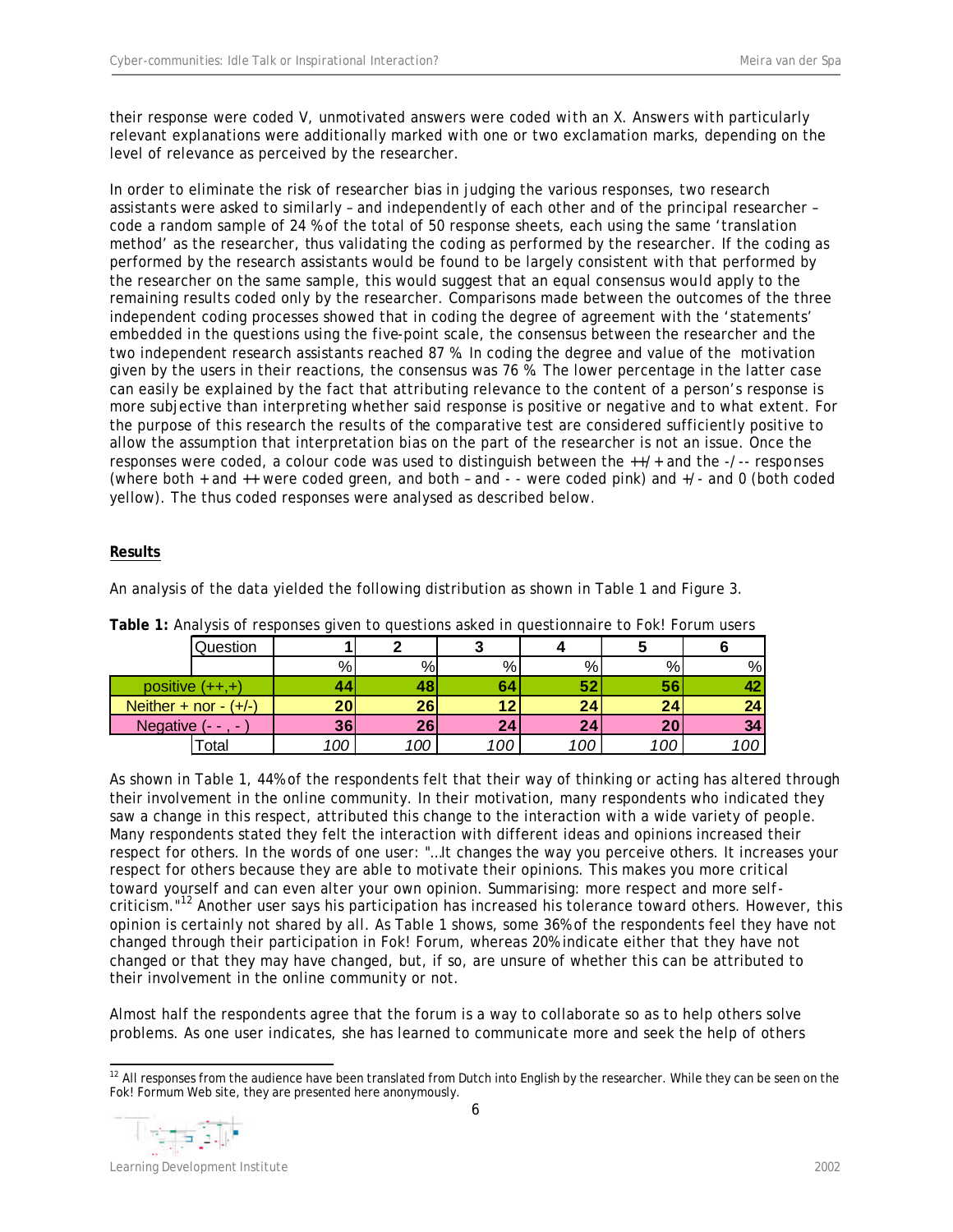their response were coded V, unmotivated answers were coded with an X. Answers with particularly relevant explanations were additionally marked with one or two exclamation marks, depending on the level of relevance as perceived by the researcher.

In order to eliminate the risk of researcher bias in judging the various responses, two research assistants were asked to similarly – and independently of each other and of the principal researcher – code a random sample of 24 % of the total of 50 response sheets, each using the same 'translation method' as the researcher, thus validating the coding as performed by the researcher. If the coding as performed by the research assistants would be found to be largely consistent with that performed by the researcher on the same sample, this would suggest that an equal consensus would apply to the remaining results coded only by the researcher. Comparisons made between the outcomes of the three independent coding processes showed that in coding the degree of agreement with the 'statements' embedded in the questions using the five-point scale, the consensus between the researcher and the two independent research assistants reached 87 %. In coding the degree and value of the motivation given by the users in their reactions, the consensus was 76 %. The lower percentage in the latter case can easily be explained by the fact that attributing relevance to the content of a person's response is more subjective than interpreting whether said response is positive or negative and to what extent. For the purpose of this research the results of the comparative test are considered sufficiently positive to allow the assumption that interpretation bias on the part of the researcher is not an issue. Once the responses were coded, a colour code was used to distinguish between the ++/+ and the -/-- responses (where both + and ++ were coded green, and both – and - - were coded pink) and +/- and 0 (both coded yellow). The thus coded responses were analysed as described below.

# **Results**

| <b>Table 11</b> And follow the coponicity of the the quodetions donour in quodetomian of to home homein doors |                         |          |     |     |                 |     |     |     |  |  |  |
|---------------------------------------------------------------------------------------------------------------|-------------------------|----------|-----|-----|-----------------|-----|-----|-----|--|--|--|
|                                                                                                               |                         | Question |     |     |                 |     |     |     |  |  |  |
|                                                                                                               |                         |          | %   | %   | %               | %   | %   | %   |  |  |  |
|                                                                                                               | positive $(++,+)$       |          |     |     |                 |     | 56  | 42  |  |  |  |
|                                                                                                               | Neither + nor - $(+/-)$ |          | 20  | 26  |                 | 24  | 24  | 24  |  |  |  |
|                                                                                                               | Negative $(-, -)$       |          | 36  | 26  | 24 <sub>1</sub> | 24  | 20  | 34  |  |  |  |
|                                                                                                               |                         | ctal     | 100 | 100 |                 | 100 | 100 | 100 |  |  |  |

An analysis of the data yielded the following distribution as shown in Table 1 and Figure 3.

**Table 1:** Analysis of responses given to questions asked in questionnaire to Fok! Forum users

As shown in Table 1, 44% of the respondents felt that their way of thinking or acting has altered through their involvement in the online community. In their motivation, many respondents who indicated they saw a change in this respect, attributed this change to the interaction with a wide variety of people. Many respondents stated they felt the interaction with different ideas and opinions increased their respect for others. In the words of one user: "…It changes the way you perceive others. It increases your respect for others because they are able to motivate their opinions. This makes you more critical toward yourself and can even alter your own opinion. Summarising: more respect and more selfcriticism."<sup>12</sup> Another user says his participation has increased his tolerance toward others. However, this opinion is certainly not shared by all. As Table 1 shows, some 36% of the respondents feel they have not changed through their participation in Fok! Forum, whereas 20% indicate either that they have not changed or that they may have changed, but, if so, are unsure of whether this can be attributed to their involvement in the online community or not.

Almost half the respondents agree that the forum is a way to collaborate so as to help others solve problems. As one user indicates, she has learned to communicate more and seek the help of others

  $12$  All responses from the audience have been translated from Dutch into English by the researcher. While they can be seen on the Fok! Formum Web site, they are presented here anonymously.

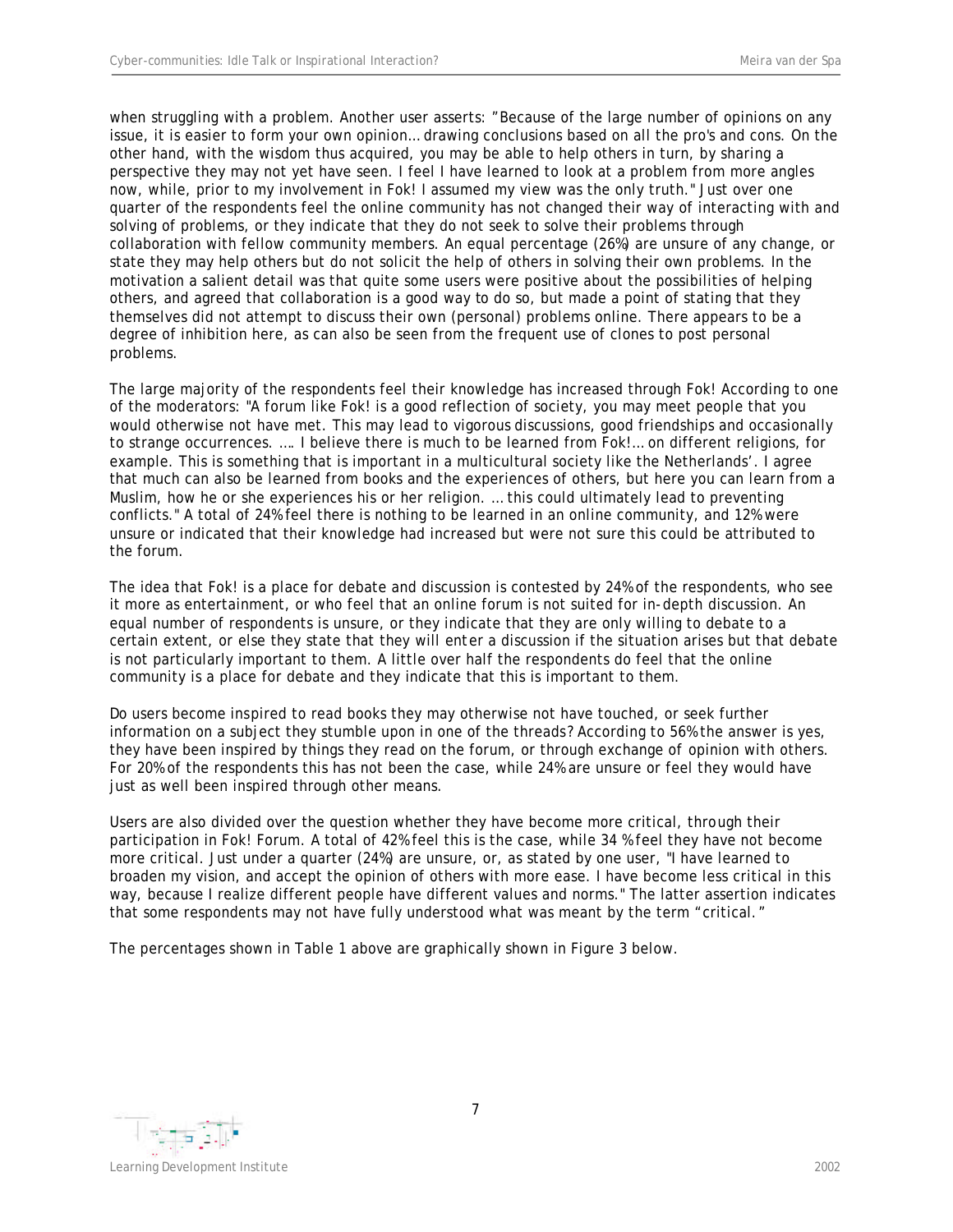when struggling with a problem. Another user asserts: "Because of the large number of opinions on any issue, it is easier to form your own opinion… drawing conclusions based on all the pro's and cons. On the other hand, with the wisdom thus acquired, you may be able to help others in turn, by sharing a perspective they may not yet have seen. I feel I have learned to look at a problem from more angles now, while, prior to my involvement in Fok! I assumed my view was the only truth." Just over one quarter of the respondents feel the online community has not changed their way of interacting with and solving of problems, or they indicate that they do not seek to solve their problems through collaboration with fellow community members. An equal percentage (26%) are unsure of any change, or state they may help others but do not solicit the help of others in solving their own problems. In the motivation a salient detail was that quite some users were positive about the possibilities of helping others, and agreed that collaboration is a good way to do so, but made a point of stating that they themselves did not attempt to discuss their own (personal) problems online. There appears to be a degree of inhibition here, as can also be seen from the frequent use of clones to post personal problems.

The large majority of the respondents feel their knowledge has increased through Fok! According to one of the moderators: "A forum like Fok! is a good reflection of society, you may meet people that you would otherwise not have met. This may lead to vigorous discussions, good friendships and occasionally to strange occurrences. …. I believe there is much to be learned from Fok!… on different religions, for example. This is something that is important in a multicultural society like the Netherlands'. I agree that much can also be learned from books and the experiences of others, but here you can learn from a Muslim, how he or she experiences his or her religion. … this could ultimately lead to preventing conflicts." A total of 24% feel there is nothing to be learned in an online community, and 12% were unsure or indicated that their knowledge had increased but were not sure this could be attributed to the forum.

The idea that Fok! is a place for debate and discussion is contested by 24% of the respondents, who see it more as entertainment, or who feel that an online forum is not suited for in-depth discussion. An equal number of respondents is unsure, or they indicate that they are only willing to debate to a certain extent, or else they state that they will enter a discussion if the situation arises but that debate is not particularly important to them. A little over half the respondents do feel that the online community is a place for debate and they indicate that this is important to them.

Do users become inspired to read books they may otherwise not have touched, or seek further information on a subject they stumble upon in one of the threads? According to 56% the answer is yes, they have been inspired by things they read on the forum, or through exchange of opinion with others. For 20% of the respondents this has not been the case, while 24% are unsure or feel they would have just as well been inspired through other means.

Users are also divided over the question whether they have become more critical, through their participation in Fok! Forum. A total of 42% feel this is the case, while 34 % feel they have not become more critical. Just under a quarter (24%) are unsure, or, as stated by one user*,* "I have learned to broaden my vision, and accept the opinion of others with more ease. I have become less critical in this way, because I realize different people have different values and norms." The latter assertion indicates that some respondents may not have fully understood what was meant by the term "critical."

The percentages shown in Table 1 above are graphically shown in Figure 3 below.



7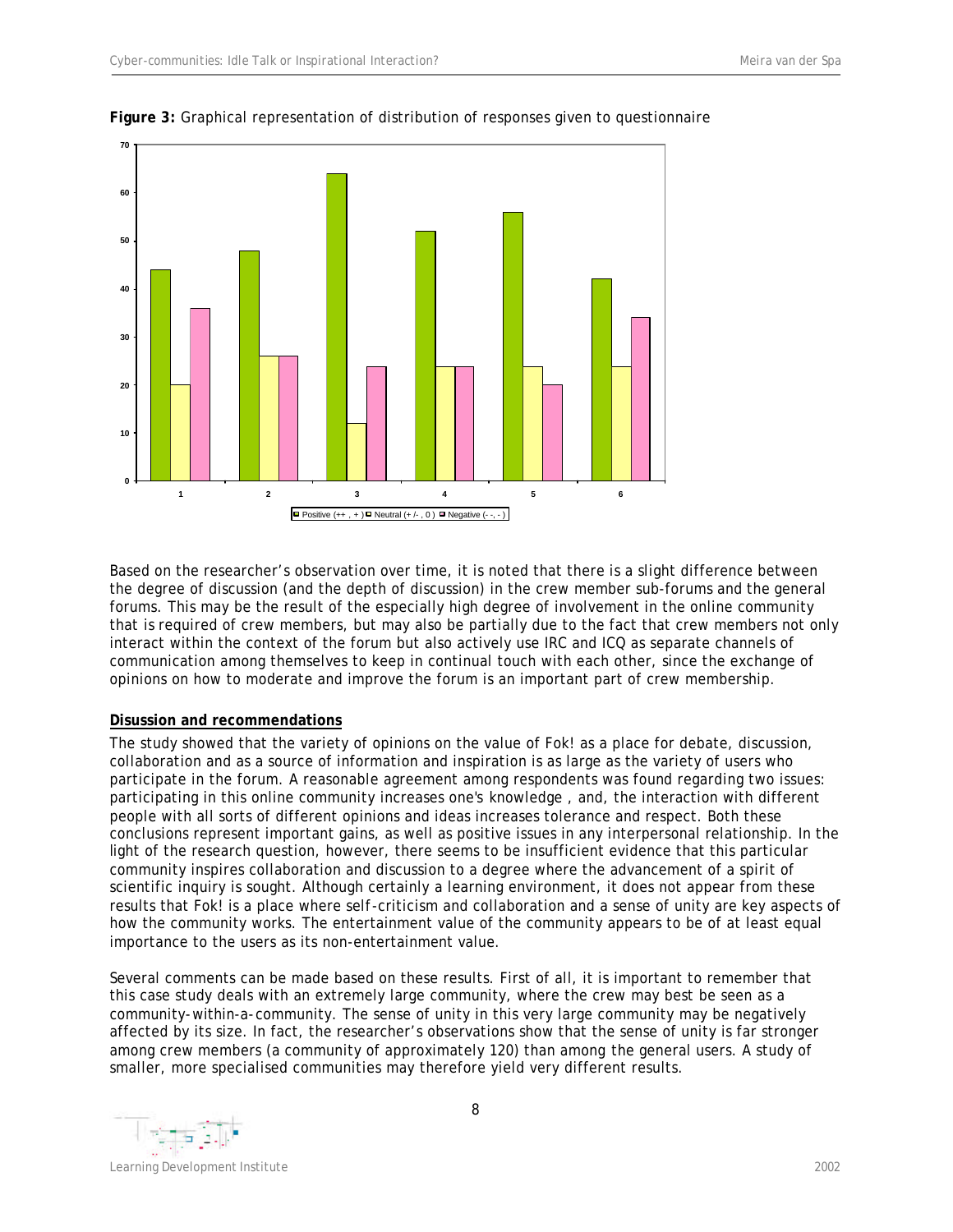

## **Figure 3:** Graphical representation of distribution of responses given to questionnaire

Based on the researcher's observation over time, it is noted that there is a slight difference between the degree of discussion (and the depth of discussion) in the crew member sub-forums and the general forums. This may be the result of the especially high degree of involvement in the online community that is required of crew members, but may also be partially due to the fact that crew members not only interact within the context of the forum but also actively use IRC and ICQ as separate channels of communication among themselves to keep in continual touch with each other, since the exchange of opinions on how to moderate and improve the forum is an important part of crew membership.

## **Disussion and recommendations**

The study showed that the variety of opinions on the value of Fok! as a place for debate, discussion, collaboration and as a source of information and inspiration is as large as the variety of users who participate in the forum. A reasonable agreement among respondents was found regarding two issues: participating in this online community increases one's knowledge , and, the interaction with different people with all sorts of different opinions and ideas increases tolerance and respect. Both these conclusions represent important gains, as well as positive issues in any interpersonal relationship. In the light of the research question, however, there seems to be insufficient evidence that this particular community inspires collaboration and discussion to a degree where the advancement of a spirit of scientific inquiry is sought. Although certainly a learning environment, it does not appear from these results that Fok! is a place where self-criticism and collaboration and a sense of unity are key aspects of how the community works. The entertainment value of the community appears to be of at least equal importance to the users as its non-entertainment value.

Several comments can be made based on these results. First of all, it is important to remember that this case study deals with an extremely large community, where the crew may best be seen as a community-within-a-community. The sense of unity in this very large community may be negatively affected by its size. In fact, the researcher's observations show that the sense of unity is far stronger among crew members (a community of approximately 120) than among the general users. A study of smaller, more specialised communities may therefore yield very different results.

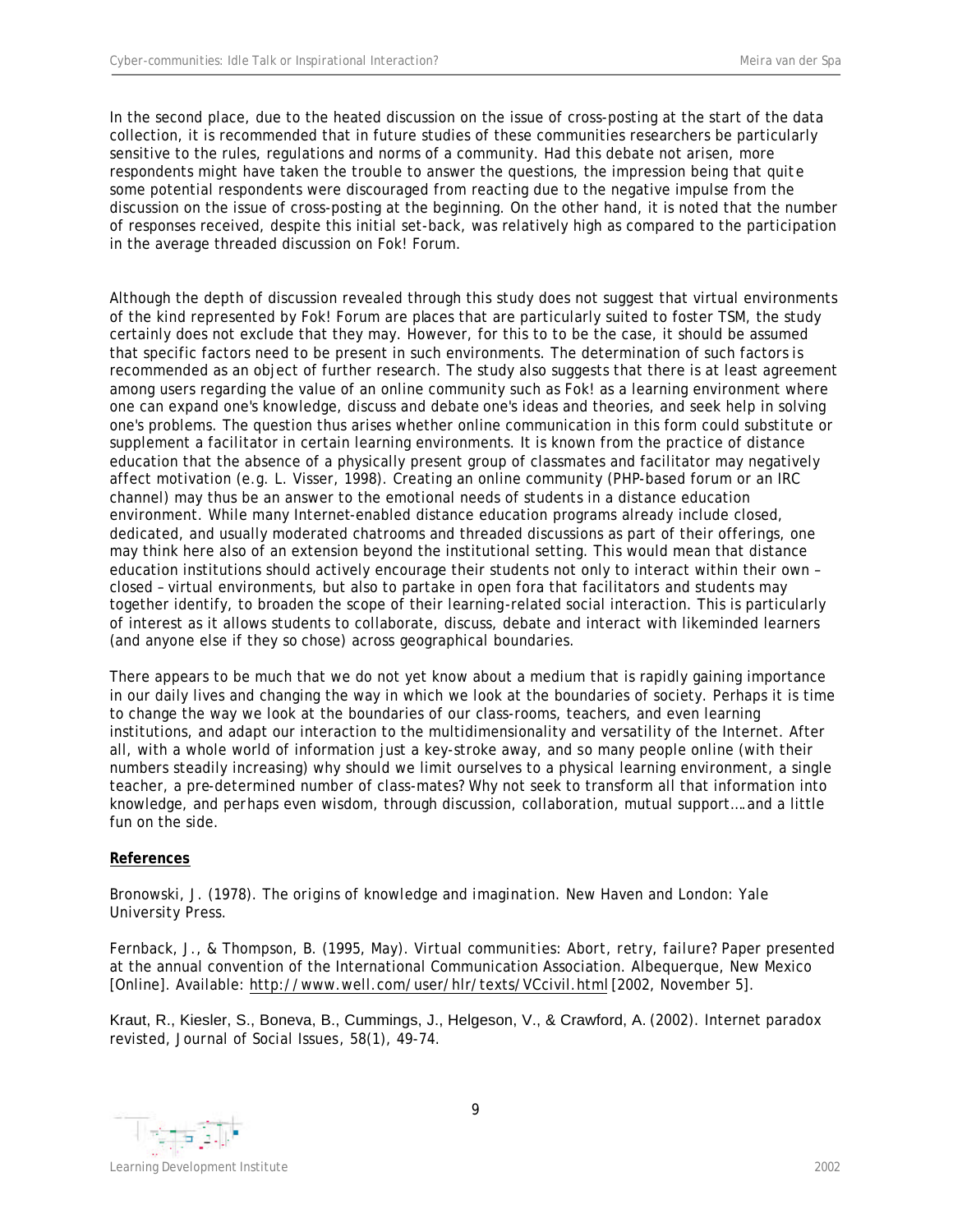In the second place, due to the heated discussion on the issue of cross-posting at the start of the data collection, it is recommended that in future studies of these communities researchers be particularly sensitive to the rules, regulations and norms of a community. Had this debate not arisen, more respondents might have taken the trouble to answer the questions, the impression being that quite some potential respondents were discouraged from reacting due to the negative impulse from the discussion on the issue of cross-posting at the beginning. On the other hand, it is noted that the number of responses received, despite this initial set-back, was relatively high as compared to the participation in the average threaded discussion on Fok! Forum.

Although the depth of discussion revealed through this study does not suggest that virtual environments of the kind represented by Fok! Forum are places that are particularly suited to foster TSM, the study certainly does not exclude that they may. However, for this to to be the case, it should be assumed that specific factors need to be present in such environments. The determination of such factors is recommended as an object of further research. The study also suggests that there is at least agreement among users regarding the value of an online community such as Fok! as a learning environment where one can expand one's knowledge, discuss and debate one's ideas and theories, and seek help in solving one's problems. The question thus arises whether online communication in this form could substitute or supplement a facilitator in certain learning environments. It is known from the practice of distance education that the absence of a physically present group of classmates and facilitator may negatively affect motivation (e.g. L. Visser, 1998). Creating an online community (PHP-based forum or an IRC channel) may thus be an answer to the emotional needs of students in a distance education environment. While many Internet-enabled distance education programs already include closed, dedicated, and usually moderated chatrooms and threaded discussions as part of their offerings, one may think here also of an extension beyond the institutional setting. This would mean that distance education institutions should actively encourage their students not only to interact within their own – closed – virtual environments, but also to partake in open fora that facilitators and students may together identify, to broaden the scope of their learning-related social interaction. This is particularly of interest as it allows students to collaborate, discuss, debate and interact with likeminded learners (and anyone else if they so chose) across geographical boundaries.

There appears to be much that we do not yet know about a medium that is rapidly gaining importance in our daily lives and changing the way in which we look at the boundaries of society. Perhaps it is time to change the way we look at the boundaries of our class-rooms, teachers, and even learning institutions, and adapt our interaction to the multidimensionality and versatility of the Internet. After all, with a whole world of information just a key-stroke away, and so many people online (with their numbers steadily increasing) why should we limit ourselves to a physical learning environment, a single teacher, a pre-determined number of class-mates? Why not seek to transform all that information into knowledge, and perhaps even wisdom, through discussion, collaboration, mutual support….and a little fun on the side.

# **References**

Bronowski, J. (1978). *The origins of knowledge and imagination*. New Haven and London: Yale University Press.

Fernback, J., & Thompson, B. (1995, May). *Virtual communities: Abort, retry, failure?* Paper presented at the annual convention of the International Communication Association. Albequerque, New Mexico [Online]. Available: http://www.well.com/user/hlr/texts/VCcivil.html [2002, November 5].

Kraut, R., Kiesler, S., Boneva, B., Cummings, J., Helgeson, V., & Crawford, A. (2002*).* Internet paradox revisted, *Journal of Social Issues*, *58*(1), 49-74.